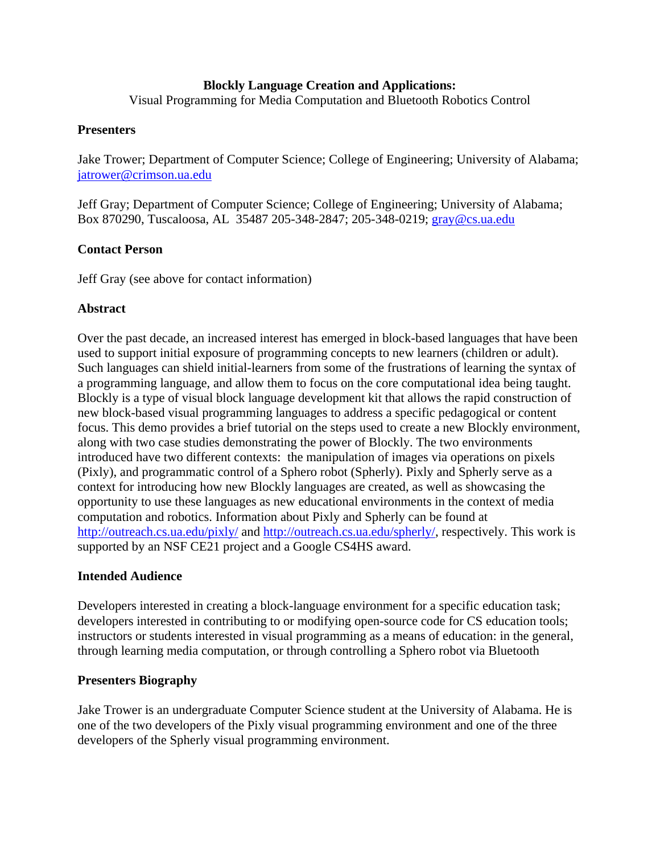#### **Blockly Language Creation and Applications:**

Visual Programming for Media Computation and Bluetooth Robotics Control

#### **Presenters**

Jake Trower; Department of Computer Science; College of Engineering; University of Alabama; jatrower@crimson.ua.edu

Jeff Gray; Department of Computer Science; College of Engineering; University of Alabama; Box 870290, Tuscaloosa, AL 35487 205-348-2847; 205-348-0219; gray@cs.ua.edu

### **Contact Person**

Jeff Gray (see above for contact information)

### **Abstract**

Over the past decade, an increased interest has emerged in block-based languages that have been used to support initial exposure of programming concepts to new learners (children or adult). Such languages can shield initial-learners from some of the frustrations of learning the syntax of a programming language, and allow them to focus on the core computational idea being taught. Blockly is a type of visual block language development kit that allows the rapid construction of new block-based visual programming languages to address a specific pedagogical or content focus. This demo provides a brief tutorial on the steps used to create a new Blockly environment, along with two case studies demonstrating the power of Blockly. The two environments introduced have two different contexts: the manipulation of images via operations on pixels (Pixly), and programmatic control of a Sphero robot (Spherly). Pixly and Spherly serve as a context for introducing how new Blockly languages are created, as well as showcasing the opportunity to use these languages as new educational environments in the context of media computation and robotics. Information about Pixly and Spherly can be found at http://outreach.cs.ua.edu/pixly/ and http://outreach.cs.ua.edu/spherly/, respectively. This work is supported by an NSF CE21 project and a Google CS4HS award.

#### **Intended Audience**

Developers interested in creating a block-language environment for a specific education task; developers interested in contributing to or modifying open-source code for CS education tools; instructors or students interested in visual programming as a means of education: in the general, through learning media computation, or through controlling a Sphero robot via Bluetooth

#### **Presenters Biography**

Jake Trower is an undergraduate Computer Science student at the University of Alabama. He is one of the two developers of the Pixly visual programming environment and one of the three developers of the Spherly visual programming environment.